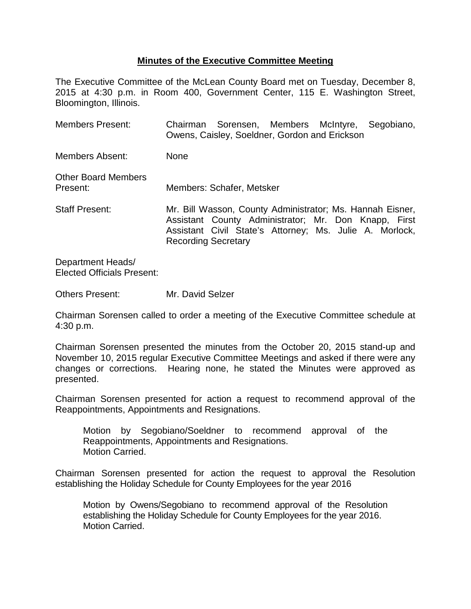## **Minutes of the Executive Committee Meeting**

The Executive Committee of the McLean County Board met on Tuesday, December 8, 2015 at 4:30 p.m. in Room 400, Government Center, 115 E. Washington Street, Bloomington, Illinois.

| <b>Members Present:</b>                |                            | Chairman Sorensen, Members McIntyre, Segobiano,<br>Owens, Caisley, Soeldner, Gordon and Erickson                                                                             |  |  |
|----------------------------------------|----------------------------|------------------------------------------------------------------------------------------------------------------------------------------------------------------------------|--|--|
| <b>Members Absent:</b>                 | <b>None</b>                |                                                                                                                                                                              |  |  |
| <b>Other Board Members</b><br>Present: |                            | Members: Schafer, Metsker                                                                                                                                                    |  |  |
| <b>Staff Present:</b>                  | <b>Recording Secretary</b> | Mr. Bill Wasson, County Administrator; Ms. Hannah Eisner,<br>Assistant County Administrator; Mr. Don Knapp, First<br>Assistant Civil State's Attorney; Ms. Julie A. Morlock, |  |  |

Department Heads/ Elected Officials Present:

Others Present: Mr. David Selzer

Chairman Sorensen called to order a meeting of the Executive Committee schedule at 4:30 p.m.

Chairman Sorensen presented the minutes from the October 20, 2015 stand-up and November 10, 2015 regular Executive Committee Meetings and asked if there were any changes or corrections. Hearing none, he stated the Minutes were approved as presented.

Chairman Sorensen presented for action a request to recommend approval of the Reappointments, Appointments and Resignations.

Motion by Segobiano/Soeldner to recommend approval of the Reappointments, Appointments and Resignations. Motion Carried.

Chairman Sorensen presented for action the request to approval the Resolution establishing the Holiday Schedule for County Employees for the year 2016

Motion by Owens/Segobiano to recommend approval of the Resolution establishing the Holiday Schedule for County Employees for the year 2016. Motion Carried.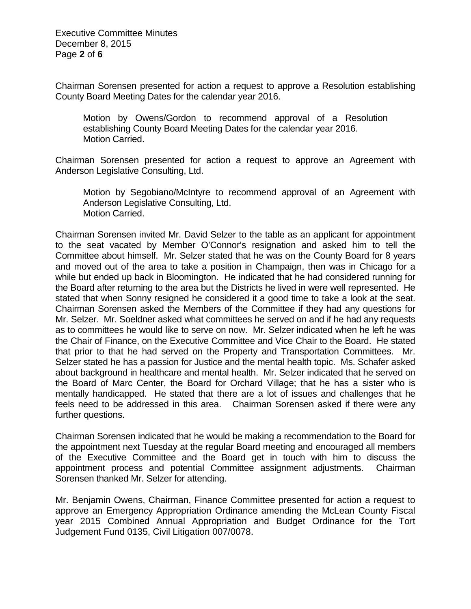Executive Committee Minutes December 8, 2015 Page **2** of **6**

Chairman Sorensen presented for action a request to approve a Resolution establishing County Board Meeting Dates for the calendar year 2016.

Motion by Owens/Gordon to recommend approval of a Resolution establishing County Board Meeting Dates for the calendar year 2016. Motion Carried.

Chairman Sorensen presented for action a request to approve an Agreement with Anderson Legislative Consulting, Ltd.

Motion by Segobiano/McIntyre to recommend approval of an Agreement with Anderson Legislative Consulting, Ltd. Motion Carried.

Chairman Sorensen invited Mr. David Selzer to the table as an applicant for appointment to the seat vacated by Member O'Connor's resignation and asked him to tell the Committee about himself. Mr. Selzer stated that he was on the County Board for 8 years and moved out of the area to take a position in Champaign, then was in Chicago for a while but ended up back in Bloomington. He indicated that he had considered running for the Board after returning to the area but the Districts he lived in were well represented. He stated that when Sonny resigned he considered it a good time to take a look at the seat. Chairman Sorensen asked the Members of the Committee if they had any questions for Mr. Selzer. Mr. Soeldner asked what committees he served on and if he had any requests as to committees he would like to serve on now. Mr. Selzer indicated when he left he was the Chair of Finance, on the Executive Committee and Vice Chair to the Board. He stated that prior to that he had served on the Property and Transportation Committees. Mr. Selzer stated he has a passion for Justice and the mental health topic. Ms. Schafer asked about background in healthcare and mental health. Mr. Selzer indicated that he served on the Board of Marc Center, the Board for Orchard Village; that he has a sister who is mentally handicapped. He stated that there are a lot of issues and challenges that he feels need to be addressed in this area. Chairman Sorensen asked if there were any further questions.

Chairman Sorensen indicated that he would be making a recommendation to the Board for the appointment next Tuesday at the regular Board meeting and encouraged all members of the Executive Committee and the Board get in touch with him to discuss the appointment process and potential Committee assignment adjustments. Chairman Sorensen thanked Mr. Selzer for attending.

Mr. Benjamin Owens, Chairman, Finance Committee presented for action a request to approve an Emergency Appropriation Ordinance amending the McLean County Fiscal year 2015 Combined Annual Appropriation and Budget Ordinance for the Tort Judgement Fund 0135, Civil Litigation 007/0078.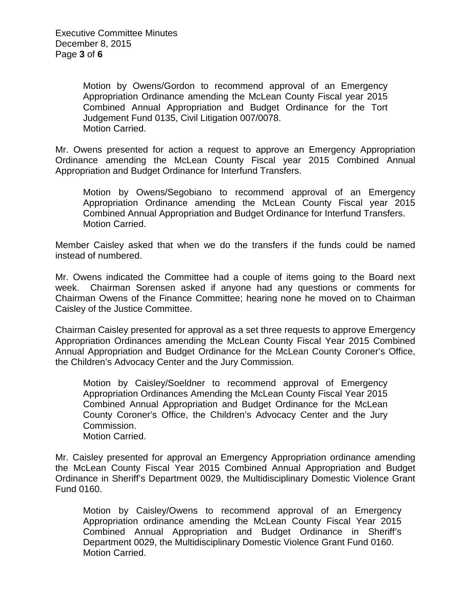Motion by Owens/Gordon to recommend approval of an Emergency Appropriation Ordinance amending the McLean County Fiscal year 2015 Combined Annual Appropriation and Budget Ordinance for the Tort Judgement Fund 0135, Civil Litigation 007/0078. Motion Carried.

Mr. Owens presented for action a request to approve an Emergency Appropriation Ordinance amending the McLean County Fiscal year 2015 Combined Annual Appropriation and Budget Ordinance for Interfund Transfers.

Motion by Owens/Segobiano to recommend approval of an Emergency Appropriation Ordinance amending the McLean County Fiscal year 2015 Combined Annual Appropriation and Budget Ordinance for Interfund Transfers. Motion Carried.

Member Caisley asked that when we do the transfers if the funds could be named instead of numbered.

Mr. Owens indicated the Committee had a couple of items going to the Board next week. Chairman Sorensen asked if anyone had any questions or comments for Chairman Owens of the Finance Committee; hearing none he moved on to Chairman Caisley of the Justice Committee.

Chairman Caisley presented for approval as a set three requests to approve Emergency Appropriation Ordinances amending the McLean County Fiscal Year 2015 Combined Annual Appropriation and Budget Ordinance for the McLean County Coroner's Office, the Children's Advocacy Center and the Jury Commission.

Motion by Caisley/Soeldner to recommend approval of Emergency Appropriation Ordinances Amending the McLean County Fiscal Year 2015 Combined Annual Appropriation and Budget Ordinance for the McLean County Coroner's Office, the Children's Advocacy Center and the Jury Commission. Motion Carried.

Mr. Caisley presented for approval an Emergency Appropriation ordinance amending the McLean County Fiscal Year 2015 Combined Annual Appropriation and Budget Ordinance in Sheriff's Department 0029, the Multidisciplinary Domestic Violence Grant Fund 0160.

Motion by Caisley/Owens to recommend approval of an Emergency Appropriation ordinance amending the McLean County Fiscal Year 2015 Combined Annual Appropriation and Budget Ordinance in Sheriff's Department 0029, the Multidisciplinary Domestic Violence Grant Fund 0160. Motion Carried.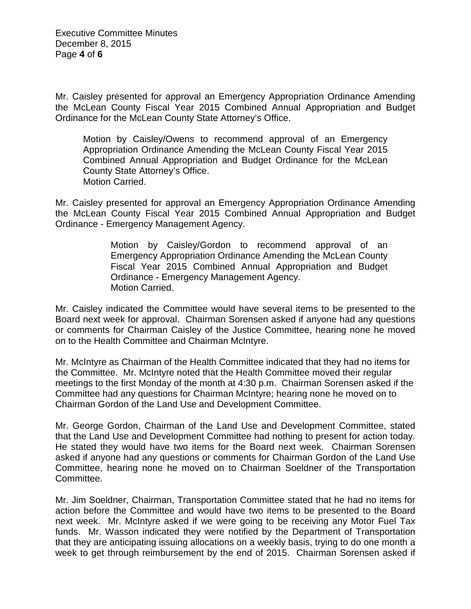Mr. Caisley presented for approval an Emergency Appropriation Ordinance Amending the McLean County Fiscal Year 2015 Combined Annual Appropriation and Budget Ordinance for the McLean County State Attorney's Office.

Motion by Caisley/Owens to recommend approval of an Emergency Appropriation Ordinance Amending the McLean County Fiscal Year 2015 Combined Annual Appropriation and Budget Ordinance for the McLean County State Attorney's Office. Motion Carried.

Mr. Caisley presented for approval an Emergency Appropriation Ordinance Amending the McLean County Fiscal Year 2015 Combined Annual Appropriation and Budget Ordinance - Emergency Management Agency.

> Motion by Caisley/Gordon to recommend approval of an Emergency Appropriation Ordinance Amending the McLean County Fiscal Year 2015 Combined Annual Appropriation and Budget Ordinance - Emergency Management Agency. Motion Carried.

Mr. Caisley indicated the Committee would have several items to be presented to the Board next week for approval. Chairman Sorensen asked if anyone had any questions or comments for Chairman Caisley of the Justice Committee, hearing none he moved on to the Health Committee and Chairman McIntyre.

Mr. McIntyre as Chairman of the Health Committee indicated that they had no items for the Committee. Mr. McIntyre noted that the Health Committee moved their regular meetings to the first Monday of the month at 4:30 p.m. Chairman Sorensen asked if the Committee had any questions for Chairman McIntyre; hearing none he moved on to Chairman Gordon of the Land Use and Development Committee.

Mr. George Gordon, Chairman of the Land Use and Development Committee, stated that the Land Use and Development Committee had nothing to present for action today. He stated they would have two items for the Board next week. Chairman Sorensen asked if anyone had any questions or comments for Chairman Gordon of the Land Use Committee, hearing none he moved on to Chairman Soeldner of the Transportation Committee.

Mr. Jim Soeldner, Chairman, Transportation Committee stated that he had no items for action before the Committee and would have two items to be presented to the Board next week. Mr. McIntyre asked if we were going to be receiving any Motor Fuel Tax funds. Mr. Wasson indicated they were notified by the Department of Transportation that they are anticipating issuing allocations on a weekly basis, trying to do one month a week to get through reimbursement by the end of 2015. Chairman Sorensen asked if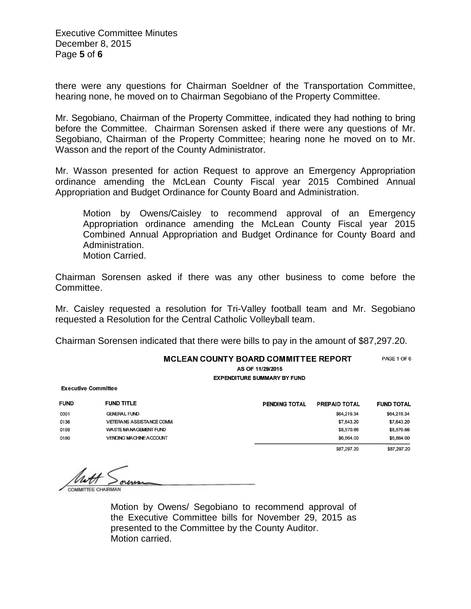Executive Committee Minutes December 8, 2015 Page **5** of **6**

there were any questions for Chairman Soeldner of the Transportation Committee, hearing none, he moved on to Chairman Segobiano of the Property Committee.

Mr. Segobiano, Chairman of the Property Committee, indicated they had nothing to bring before the Committee. Chairman Sorensen asked if there were any questions of Mr. Segobiano, Chairman of the Property Committee; hearing none he moved on to Mr. Wasson and the report of the County Administrator.

Mr. Wasson presented for action Request to approve an Emergency Appropriation ordinance amending the McLean County Fiscal year 2015 Combined Annual Appropriation and Budget Ordinance for County Board and Administration.

Motion by Owens/Caisley to recommend approval of an Emergency Appropriation ordinance amending the McLean County Fiscal year 2015 Combined Annual Appropriation and Budget Ordinance for County Board and Administration.

Motion Carried.

Chairman Sorensen asked if there was any other business to come before the Committee.

Mr. Caisley requested a resolution for Tri-Valley football team and Mr. Segobiano requested a Resolution for the Central Catholic Volleyball team.

Chairman Sorensen indicated that there were bills to pay in the amount of \$87,297.20.

| <b>MCLEAN COUNTY BOARD COMMITTEE REPORT</b><br>AS OF 11/29/2015<br><b>EXPENDITURE SUMMARY BY FUND</b> |                                  |                      |               |                   |
|-------------------------------------------------------------------------------------------------------|----------------------------------|----------------------|---------------|-------------------|
| <b>Executive Committee</b>                                                                            |                                  |                      |               |                   |
| <b>FUND</b>                                                                                           | <b>FUND TITLE</b>                | <b>PENDING TOTAL</b> | PREPAID TOTAL | <b>FUND TOTAL</b> |
| 0001                                                                                                  | <b>GENERAL FUND</b>              |                      | \$64,219.34   | \$64,219.34       |
| 0136                                                                                                  | <b>VETERANS ASSISTANCE COMM.</b> |                      | \$7,643.20    | \$7,643.20        |
| 0159                                                                                                  | WASTE MANAGEMENT FUND            |                      | \$8,570.66    | \$8,570.66        |
| 0180                                                                                                  | <b>VENDING MACHINE ACCOUNT</b>   |                      | \$6,864.00    | \$6,864.00        |
|                                                                                                       |                                  |                      | \$87,297.20   | \$87,297.20       |

Motion by Owens/ Segobiano to recommend approval of the Executive Committee bills for November 29, 2015 as presented to the Committee by the County Auditor. Motion carried.